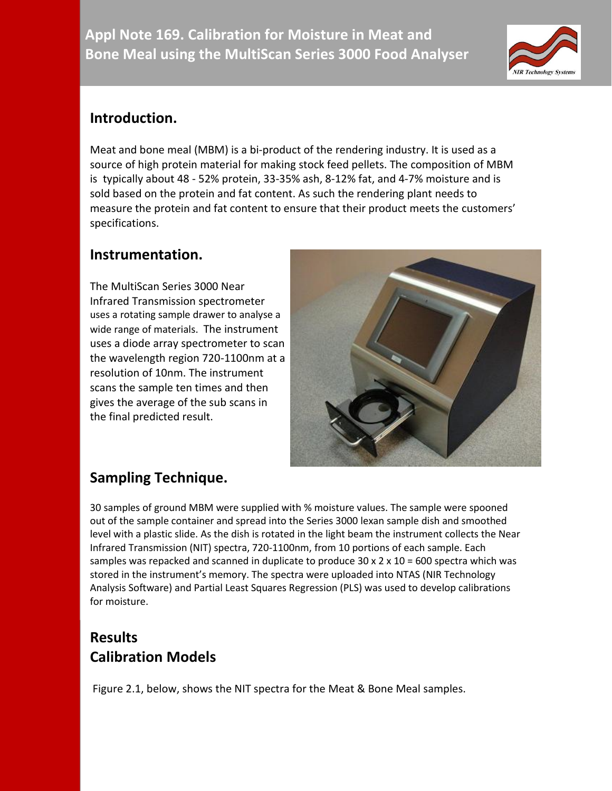

### **Introduction.**

Meat and bone meal (MBM) is a bi-product of the [rendering](http://en.wikipedia.org/wiki/Rendering_(food_processing)) industry. It is used as a source of high protein material for making stock feed pellets. The composition of MBM is typically about 48 - 52% [protein,](http://en.wikipedia.org/wiki/Protein) 33-35% [ash,](http://en.wikipedia.org/wiki/Ash_(analytical_chemistry)) 8-12% [fat,](http://en.wikipedia.org/wiki/Fat) and 4-7% [moisture](http://en.wikipedia.org/wiki/Moisture) and is sold based on the protein and fat content. As such the rendering plant needs to measure the protein and fat content to ensure that their product meets the customers' specifications.

#### **Instrumentation.**

The MultiScan Series 3000 Near Infrared Transmission spectrometer uses a rotating sample drawer to analyse a wide range of materials. The instrument uses a diode array spectrometer to scan the wavelength region 720-1100nm at a resolution of 10nm. The instrument scans the sample ten times and then gives the average of the sub scans in the final predicted result.



# **Sampling Technique.**

30 samples of ground MBM were supplied with % moisture values. The sample were spooned out of the sample container and spread into the Series 3000 lexan sample dish and smoothed level with a plastic slide. As the dish is rotated in the light beam the instrument collects the Near Infrared Transmission (NIT) spectra, 720-1100nm, from 10 portions of each sample. Each samples was repacked and scanned in duplicate to produce  $30 \times 2 \times 10 = 600$  spectra which was stored in the instrument's memory. The spectra were uploaded into NTAS (NIR Technology Analysis Software) and Partial Least Squares Regression (PLS) was used to develop calibrations for moisture.

# **Results Calibration Models**

Figure 2.1, below, shows the NIT spectra for the Meat & Bone Meal samples.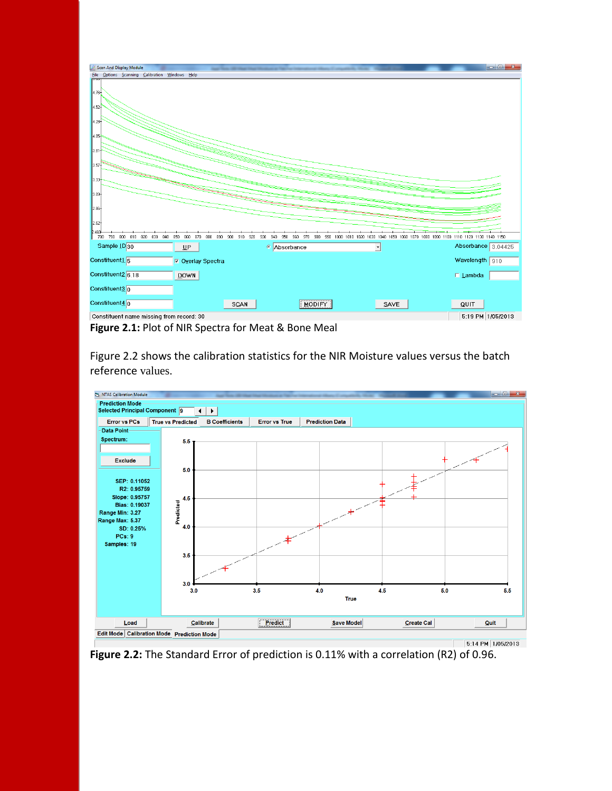

Figure 2.2 shows the calibration statistics for the NIR Moisture values versus the batch reference values.